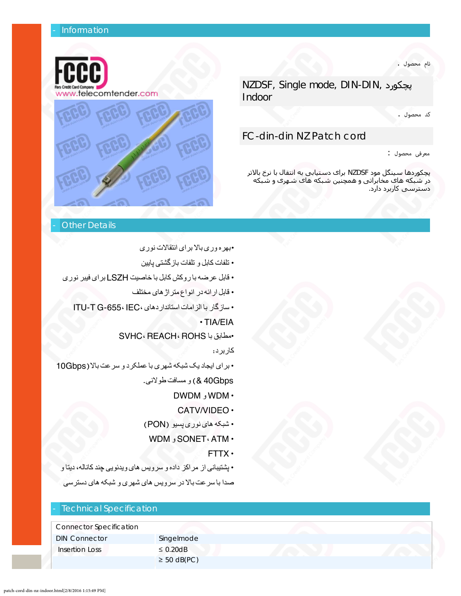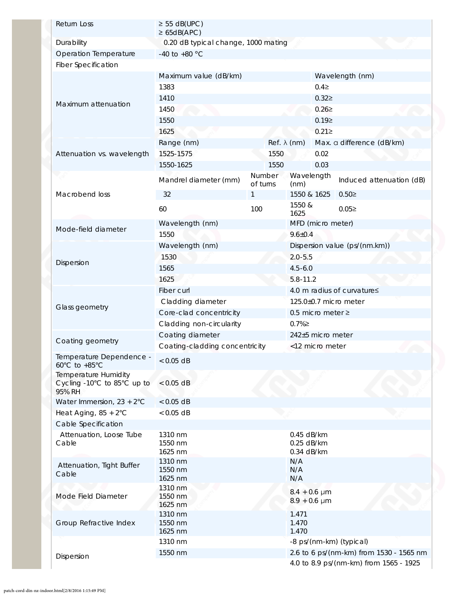| Return Loss                                                          | $\geq$ 55 dB(UPC)<br>$\geq 65dB(APC)$ |                                     |                                         |                               |  |  |
|----------------------------------------------------------------------|---------------------------------------|-------------------------------------|-----------------------------------------|-------------------------------|--|--|
| Durability                                                           |                                       | 0.20 dB typical change, 1000 mating |                                         |                               |  |  |
| Operation Temperature                                                | -40 to +80 $^{\circ}$ C               |                                     |                                         |                               |  |  |
| <b>Fiber Specification</b>                                           |                                       |                                     |                                         |                               |  |  |
| Maximum attenuation                                                  | Maximum value (dB/km)                 |                                     |                                         | Wavelength (nm)               |  |  |
|                                                                      | 1383                                  | $0.4 \geq$                          |                                         |                               |  |  |
|                                                                      | 1410                                  |                                     | $0.32 \ge$                              |                               |  |  |
|                                                                      | 1450                                  |                                     | 0.262                                   |                               |  |  |
|                                                                      | 1550                                  |                                     | 0.192                                   |                               |  |  |
|                                                                      | 1625                                  |                                     | $0.21 \ge$                              |                               |  |  |
| Attenuation vs. wavelength                                           | Range (nm)                            |                                     | $Ref. \lambda (nm)$                     | Max. a difference (dB/km)     |  |  |
|                                                                      | 1525-1575                             | 1550                                | 0.02                                    |                               |  |  |
|                                                                      | 1550-1625                             | 1550                                | 0.03                                    |                               |  |  |
| ri di<br>Macrobend loss                                              | Mandrel diameter (mm)                 | of turns                            | Number Wavelength<br>(nm)               | Induced attenuation (dB)      |  |  |
|                                                                      | 32                                    | $\mathbf{1}$                        | 1550 & 1625                             | $0.50 \geq$                   |  |  |
|                                                                      | 60                                    | 100                                 | 1550 &<br>1625                          | 0.052                         |  |  |
| Mode-field diameter                                                  | Wavelength (nm)                       |                                     | MFD (micro meter)                       |                               |  |  |
|                                                                      | 1550                                  |                                     | $9.6 \pm 0.4$                           |                               |  |  |
| Dispersion                                                           | Wavelength (nm)                       |                                     |                                         | Dispersion value (ps/(nm.km)) |  |  |
|                                                                      | 1530                                  |                                     | $2.0 - 5.5$                             |                               |  |  |
|                                                                      | 1565                                  |                                     | $4.5 - 6.0$                             |                               |  |  |
|                                                                      | 1625                                  |                                     | $5.8 - 11.2$                            |                               |  |  |
| Glass geometry                                                       | Fiber curl                            |                                     |                                         | 4.0 m radius of curvature≤    |  |  |
|                                                                      | Cladding diameter                     |                                     |                                         | 125.0±0.7 micro meter         |  |  |
|                                                                      | Core-clad concentricity               | 0.5 micro meter $\ge$               |                                         |                               |  |  |
|                                                                      | Cladding non-circularity              |                                     | $0.7\%$                                 |                               |  |  |
|                                                                      | Coating diameter                      | 242±5 micro meter                   |                                         |                               |  |  |
| Coating geometry                                                     | Coating-cladding concentricity        |                                     | <12 micro meter                         |                               |  |  |
| Temperature Dependence -<br>$60^{\circ}$ C to +85 $^{\circ}$ C       | $< 0.05$ dB                           |                                     |                                         |                               |  |  |
| <b>Temperature Humidity</b><br>Cycling -10°C to 85°C up to<br>95% RH | $< 0.05$ dB                           |                                     |                                         |                               |  |  |
| Water Immersion, $23 + 2^{\circ}C$                                   | $< 0.05$ dB                           |                                     |                                         |                               |  |  |
| Heat Aging, $85 + 2^{\circ}$ C                                       | $< 0.05$ dB                           |                                     |                                         |                               |  |  |
| Cable Specification                                                  |                                       |                                     |                                         |                               |  |  |
| Attenuation, Loose Tube                                              | 1310 nm                               |                                     | 0.45 dB/km                              |                               |  |  |
| Cable                                                                | 1550 nm                               |                                     | 0.25 dB/km                              |                               |  |  |
| Attenuation, Tight Buffer<br>Cable                                   | 1625 nm<br>1310 nm                    |                                     | 0.34 dB/km<br>N/A                       |                               |  |  |
|                                                                      | 1550 nm                               |                                     | N/A                                     |                               |  |  |
|                                                                      | 1625 nm                               |                                     | N/A                                     |                               |  |  |
| Mode Field Diameter                                                  | 1310 nm<br>1550 nm<br>1625 nm         |                                     | $8.4 + 0.6 \mu m$<br>$8.9 + 0.6 \mu m$  |                               |  |  |
| Group Refractive Index                                               | 1310 nm                               |                                     | 1.471                                   |                               |  |  |
|                                                                      | 1550 nm                               |                                     | 1.470                                   |                               |  |  |
|                                                                      | 1625 nm                               |                                     | 1.470                                   |                               |  |  |
|                                                                      | 1310 nm                               |                                     | -8 ps/(nm-km) (typical)                 |                               |  |  |
| Dispersion                                                           | 1550 nm                               |                                     | 2.6 to 6 ps/(nm-km) from 1530 - 1565 nm |                               |  |  |
|                                                                      |                                       |                                     | 4.0 to 8.9 ps/(nm-km) from 1565 - 1925  |                               |  |  |